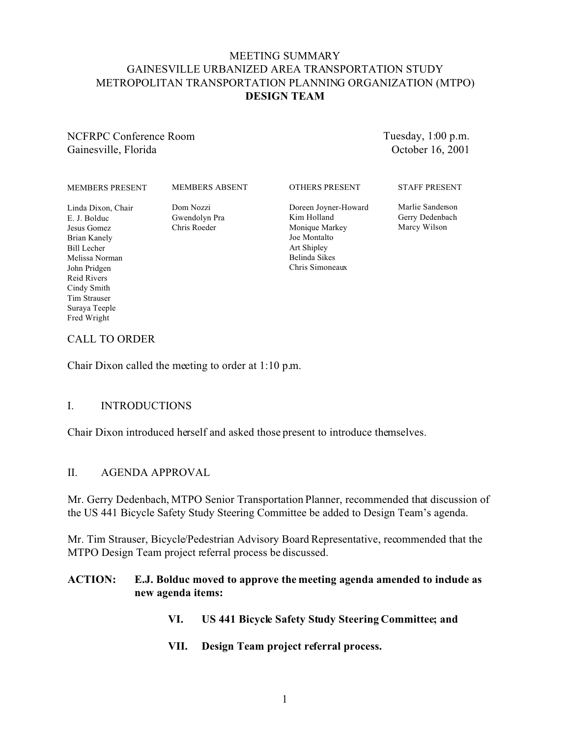# MEETING SUMMARY GAINESVILLE URBANIZED AREA TRANSPORTATION STUDY METROPOLITAN TRANSPORTATION PLANNING ORGANIZATION (MTPO) **DESIGN TEAM**

#### NCFRPC Conference Room Gainesville, Florida

Tuesday, 1:00 p.m. October 16, 2001

| <b>MEMBERS PRESENT</b>                                                                                                                                                                   | <b>MEMBERS ABSENT</b>                      | <b>OTHERS PRESENT</b>                                                                                                    | <b>STAFF PRESENT</b>                                |
|------------------------------------------------------------------------------------------------------------------------------------------------------------------------------------------|--------------------------------------------|--------------------------------------------------------------------------------------------------------------------------|-----------------------------------------------------|
| Linda Dixon, Chair<br>E. J. Bolduc<br>Jesus Gomez<br>Brian Kanely<br><b>Bill Lecher</b><br>Melissa Norman<br>John Pridgen<br>Reid Rivers<br>Cindy Smith<br>Tim Strauser<br>Surava Teeple | Dom Nozzi<br>Gwendolyn Pra<br>Chris Roeder | Doreen Joyner-Howard<br>Kim Holland<br>Monique Markey<br>Joe Montalto<br>Art Shipley<br>Belinda Sikes<br>Chris Simoneaux | Marlie Sanderson<br>Gerry Dedenbach<br>Marcy Wilson |
|                                                                                                                                                                                          |                                            |                                                                                                                          |                                                     |

#### CALL TO ORDER

Fred Wright

Chair Dixon called the meeting to order at 1:10 p.m.

#### I. INTRODUCTIONS

Chair Dixon introduced herself and asked those present to introduce themselves.

#### II. AGENDA APPROVAL

Mr. Gerry Dedenbach, MTPO Senior Transportation Planner, recommended that discussion of the US 441 Bicycle Safety Study Steering Committee be added to Design Team's agenda.

Mr. Tim Strauser, Bicycle/Pedestrian Advisory Board Representative, recommended that the MTPO Design Team project referral process be discussed.

# **ACTION: E.J. Bolduc moved to approve the meeting agenda amended to include as new agenda items:**

- **VI. US 441 Bicycle Safety Study Steering Committee; and**
- **VII. Design Team project referral process.**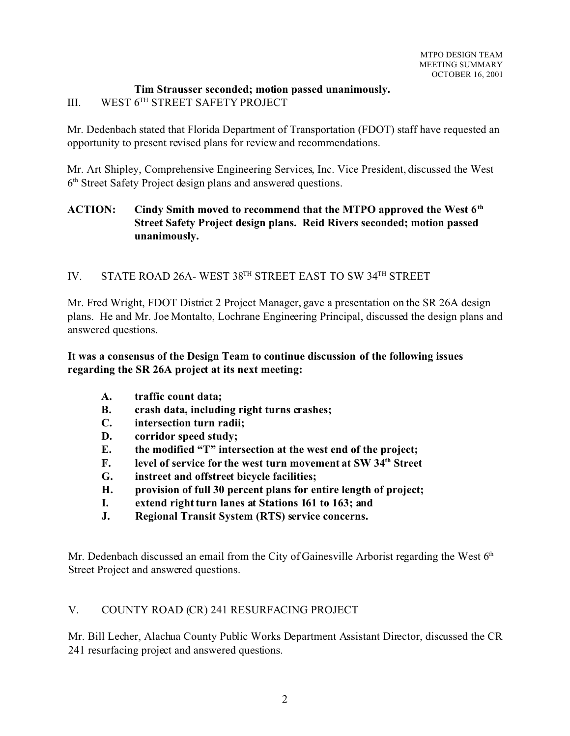# **Tim Strausser seconded; motion passed unanimously.**

# III. WEST 6TH STREET SAFETY PROJECT

Mr. Dedenbach stated that Florida Department of Transportation (FDOT) staff have requested an opportunity to present revised plans for review and recommendations.

Mr. Art Shipley, Comprehensive Engineering Services, Inc. Vice President, discussed the West 6 th Street Safety Project design plans and answered questions.

# **ACTION: Cindy Smith moved to recommend that the MTPO approved the West 6th Street Safety Project design plans. Reid Rivers seconded; motion passed unanimously.**

# IV. STATE ROAD 26A- WEST 38TH STREET EAST TO SW 34TH STREET

Mr. Fred Wright, FDOT District 2 Project Manager, gave a presentation on the SR 26A design plans. He and Mr. Joe Montalto, Lochrane Engineering Principal, discussed the design plans and answered questions.

# **It was a consensus of the Design Team to continue discussion of the following issues regarding the SR 26A project at its next meeting:**

- **A. traffic count data;**
- **B. crash data, including right turns crashes;**
- **C. intersection turn radii;**
- **D. corridor speed study;**
- **E. the modified "T" intersection at the west end of the project;**
- **F. level of service for the west turn movement at SW 34th Street**
- **G. instreet and offstreet bicycle facilities;**
- **H. provision of full 30 percent plans for entire length of project;**
- **I. extend right turn lanes at Stations 161 to 163; and**
- **J. Regional Transit System (RTS) service concerns.**

Mr. Dedenbach discussed an email from the City of Gainesville Arborist regarding the West  $6<sup>th</sup>$ Street Project and answered questions.

# V. COUNTY ROAD (CR) 241 RESURFACING PROJECT

Mr. Bill Lecher, Alachua County Public Works Department Assistant Director, discussed the CR 241 resurfacing project and answered questions.